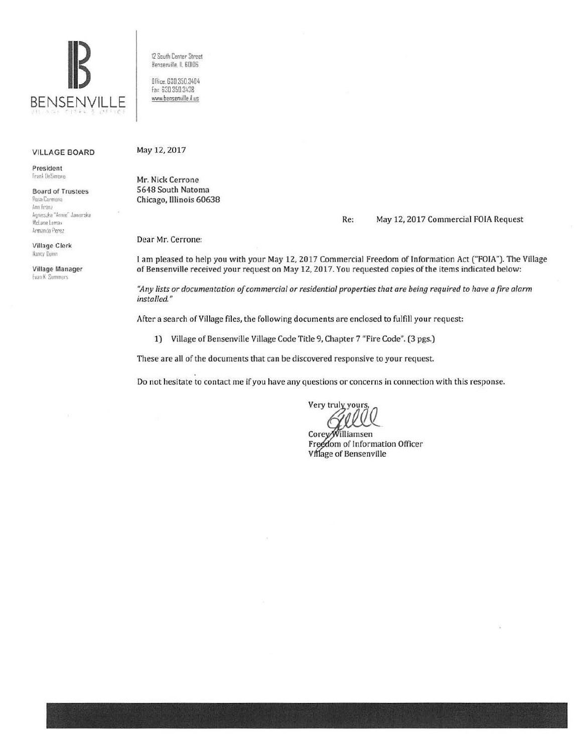

#### VILLAGE BOARD

President Frank DeSimone

Board of Trustees **Rosa Canmona**  $Ann$  Franz Annieszka "Annie" Jaworska McLane Lomax Armando Perez

Village Clerk Nancy Ilumn

Village Manager **Evan K** Summers

12 South Center Street Benserville, IL 60I06

Office. 630.350.3404 Fax 630 350 3438 www.bensenville.il.us

#### May 12, 2017

Mr. Nick Cerrone 5648 South Natoma Chicago, Illinois 60638

### Re: May 12, 2017 Commercial FOIA Request

Dear Mr. Cerrone:

I am pleased to help you with your May 12, 2017 Commercial Freedom of Information Act ("FOIA"). The Village of Bensenville received your request on May 12, 2017. You requested copies of the items indicated below:

"Any lists or documentation of commercial or residential properties that are being required to have a fire alarm *installed."* 

After a search of Village files, the following documents are enclosed to fulfill your request:

1) Village of Bensenville Village Code Title 9, Chapter 7 "Fire Code". (3 pgs.)

These are all of the documents that can be discovered responsive to your request.

Do not hesitate to contact me if you have any questions or concerns in connection with this response.

Very truly yours

CoreyWilliamsen Freedom of Information Officer Village of Bensenville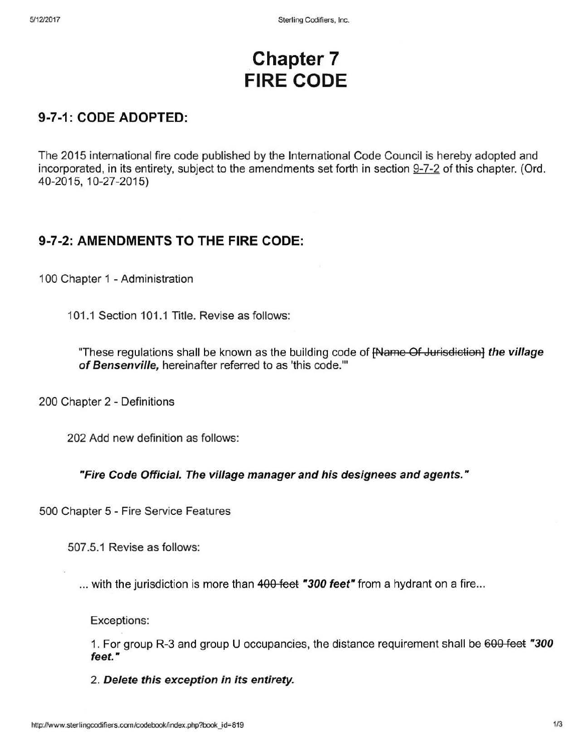# **. Chapter 7 FIRE CODE**

# **9-7-1: CODE ADOPTED:**

The 2015 international fire code published by the International Code Council is hereby adopted and incorporated, in its entirety, subject to the amendments set forth in section 9-7-2 of this chapter. (Ord. 40-2015, 10-27-2015)

## **9-7-2: AMENDMENTS TO THE FIRE CODE:**

100 Chapter 1 - Administration

101.1 Section 101.1 Title. Revise as follows:

"These regulations shall be known as the building code of [Name Of Jurisdiction] **the village of Bensenville,** hereinafter referred to as 'this code.'"

200 Chapter 2 - Definitions

202 Add new definition as follows:

### "Fire Code Official. The village manager and his designees and agents."

500 Chapter 5 - Fire Service Features

507 .5.1 Revise as follows:

... with the jurisdiction is more than 400 feet "300 feet" from a hydrant on a fire...

Exceptions:

1. For group R-3 and group U occupancies, the distance requirement shall be 600 feet **'"300**  feet."

2. **Delete this exception in its entirety.**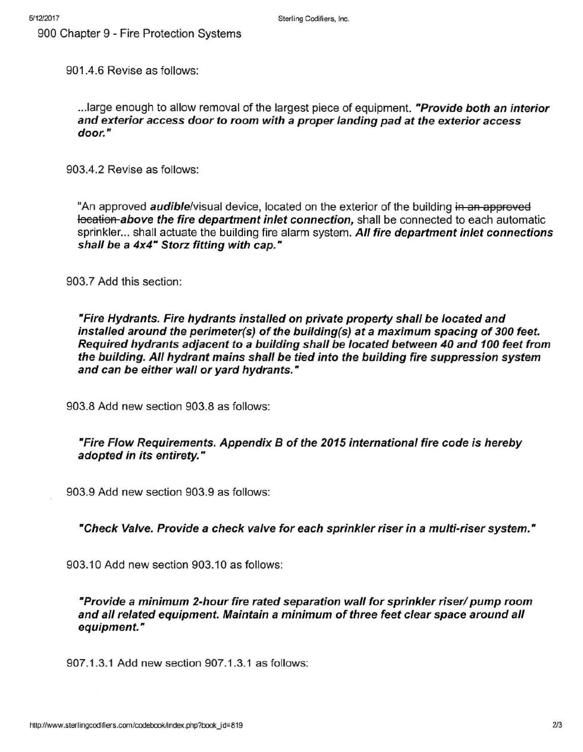900 Chapter 9 - Fire Protection Systems

901.4.6 Revise as follows:

... large enough to allow removal of the largest piece of equipment. "Provide both an interior and exterior access door to room with a proper landing pad at the exterior access door."

903.4.2 Revise as follows:

"An approved **audible**/visual device, located on the exterior of the building in an approved location above the fire department inlet connection, shall be connected to each automatic sprinkler... shall actuate the building fire alarm system. All fire department inlet connections shall be a 4x4" Storz fitting with cap."

903.7 Add this section:

"Fire Hydrants. Fire hydrants installed on private property shall be located and installed around the perimeter(s) of the building(s) at a maximum spacing of 300 feet. Required hydrants adjacent to a building shall be located between 40 and 100 feet from the building. All hydrant mains shall be tied into the building fire suppression system and can be either wall or yard hydrants."

903.8 Add new section 903.8 as follows:

### "Fire Flow Requirements. Appendix B of the 2015 international fire code is hereby adopted in its entirety."

903.9 Add new section 903.9 as follows:

"Check Valve. Provide a check valve for each sprinkler riser in a multi-riser system."

903.10 Add new section 903.10 as follows:

"Provide a minimum 2-hour fire rated separation wall for sprinkler riser/ pump room and all related equipment. Maintain a minimum of three feet clear space around all equipment."

907 .1.3.1 Add new section 907 .1.3.1 as follows: